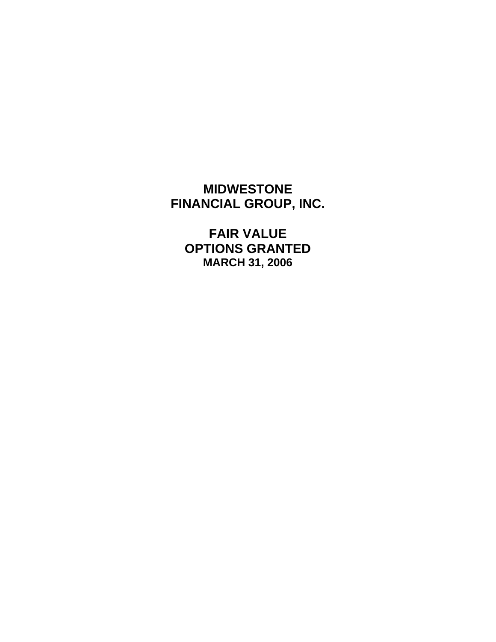# **MIDWESTONE FINANCIAL GROUP, INC.**

**FAIR VALUE OPTIONS GRANTED MARCH 31, 2006**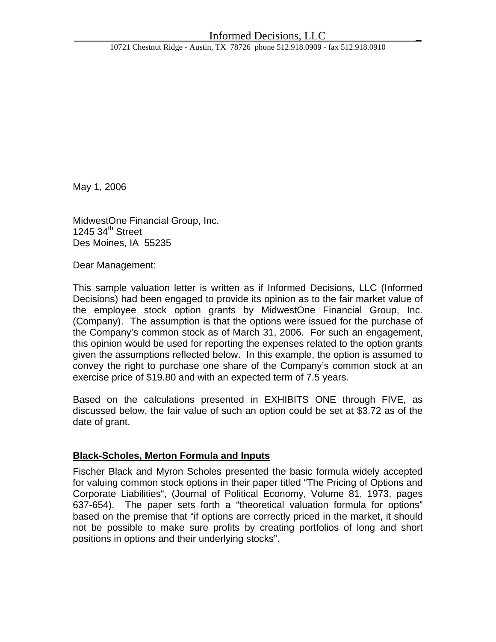10721 Chestnut Ridge - Austin, TX 78726 phone 512.918.0909 - fax 512.918.0910

May 1, 2006

MidwestOne Financial Group, Inc. 1245 34<sup>th</sup> Street Des Moines, IA 55235

Dear Management:

This sample valuation letter is written as if Informed Decisions, LLC (Informed Decisions) had been engaged to provide its opinion as to the fair market value of the employee stock option grants by MidwestOne Financial Group, Inc. (Company). The assumption is that the options were issued for the purchase of the Company's common stock as of March 31, 2006. For such an engagement, this opinion would be used for reporting the expenses related to the option grants given the assumptions reflected below. In this example, the option is assumed to convey the right to purchase one share of the Company's common stock at an exercise price of \$19.80 and with an expected term of 7.5 years.

Based on the calculations presented in EXHIBITS ONE through FIVE, as discussed below, the fair value of such an option could be set at \$3.72 as of the date of grant.

### **Black-Scholes, Merton Formula and Inputs**

Fischer Black and Myron Scholes presented the basic formula widely accepted for valuing common stock options in their paper titled "The Pricing of Options and Corporate Liabilities", (Journal of Political Economy, Volume 81, 1973, pages 637-654). The paper sets forth a "theoretical valuation formula for options" based on the premise that "if options are correctly priced in the market, it should not be possible to make sure profits by creating portfolios of long and short positions in options and their underlying stocks".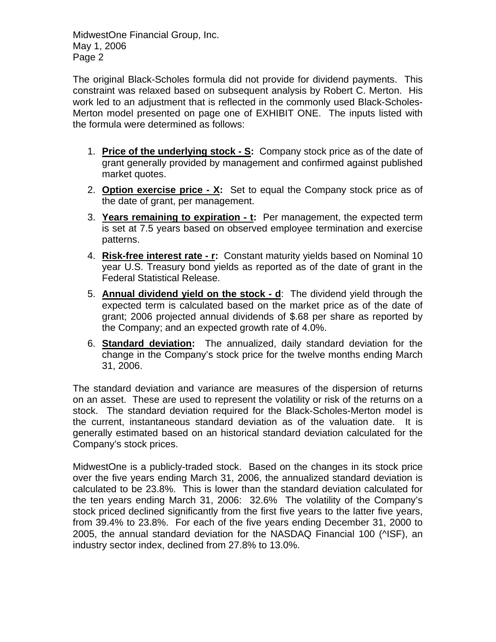The original Black-Scholes formula did not provide for dividend payments. This constraint was relaxed based on subsequent analysis by Robert C. Merton. His work led to an adjustment that is reflected in the commonly used Black-Scholes-Merton model presented on page one of EXHIBIT ONE. The inputs listed with the formula were determined as follows:

- 1. **Price of the underlying stock S:** Company stock price as of the date of grant generally provided by management and confirmed against published market quotes.
- 2. **Option exercise price X:** Set to equal the Company stock price as of the date of grant, per management.
- 3. **Years remaining to expiration t:** Per management, the expected term is set at 7.5 years based on observed employee termination and exercise patterns.
- 4. **Risk-free interest rate r:** Constant maturity yields based on Nominal 10 year U.S. Treasury bond yields as reported as of the date of grant in the Federal Statistical Release.
- 5. **Annual dividend yield on the stock d**: The dividend yield through the expected term is calculated based on the market price as of the date of grant; 2006 projected annual dividends of \$.68 per share as reported by the Company; and an expected growth rate of 4.0%.
- 6. **Standard deviation:** The annualized, daily standard deviation for the change in the Company's stock price for the twelve months ending March 31, 2006.

The standard deviation and variance are measures of the dispersion of returns on an asset. These are used to represent the volatility or risk of the returns on a stock. The standard deviation required for the Black-Scholes-Merton model is the current, instantaneous standard deviation as of the valuation date. It is generally estimated based on an historical standard deviation calculated for the Company's stock prices.

MidwestOne is a publicly-traded stock. Based on the changes in its stock price over the five years ending March 31, 2006, the annualized standard deviation is calculated to be 23.8%. This is lower than the standard deviation calculated for the ten years ending March 31, 2006: 32.6% The volatility of the Company's stock priced declined significantly from the first five years to the latter five years, from 39.4% to 23.8%. For each of the five years ending December 31, 2000 to 2005, the annual standard deviation for the NASDAQ Financial 100 (^ISF), an industry sector index, declined from 27.8% to 13.0%.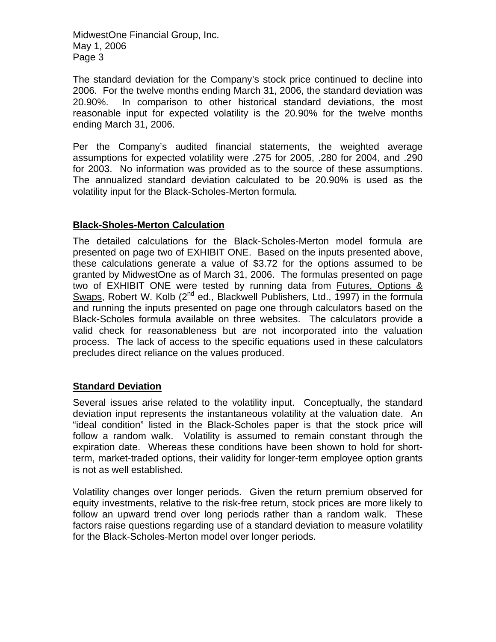The standard deviation for the Company's stock price continued to decline into 2006. For the twelve months ending March 31, 2006, the standard deviation was 20.90%. In comparison to other historical standard deviations, the most reasonable input for expected volatility is the 20.90% for the twelve months ending March 31, 2006.

Per the Company's audited financial statements, the weighted average assumptions for expected volatility were .275 for 2005, .280 for 2004, and .290 for 2003. No information was provided as to the source of these assumptions. The annualized standard deviation calculated to be 20.90% is used as the volatility input for the Black-Scholes-Merton formula.

## **Black-Sholes-Merton Calculation**

The detailed calculations for the Black-Scholes-Merton model formula are presented on page two of EXHIBIT ONE. Based on the inputs presented above, these calculations generate a value of \$3.72 for the options assumed to be granted by MidwestOne as of March 31, 2006. The formulas presented on page two of EXHIBIT ONE were tested by running data from Futures, Options & Swaps, Robert W. Kolb  $(2^{nd}$  ed., Blackwell Publishers, Ltd., 1997) in the formula and running the inputs presented on page one through calculators based on the Black-Scholes formula available on three websites. The calculators provide a valid check for reasonableness but are not incorporated into the valuation process. The lack of access to the specific equations used in these calculators precludes direct reliance on the values produced.

### **Standard Deviation**

Several issues arise related to the volatility input. Conceptually, the standard deviation input represents the instantaneous volatility at the valuation date. An "ideal condition" listed in the Black-Scholes paper is that the stock price will follow a random walk. Volatility is assumed to remain constant through the expiration date. Whereas these conditions have been shown to hold for shortterm, market-traded options, their validity for longer-term employee option grants is not as well established.

Volatility changes over longer periods. Given the return premium observed for equity investments, relative to the risk-free return, stock prices are more likely to follow an upward trend over long periods rather than a random walk. These factors raise questions regarding use of a standard deviation to measure volatility for the Black-Scholes-Merton model over longer periods.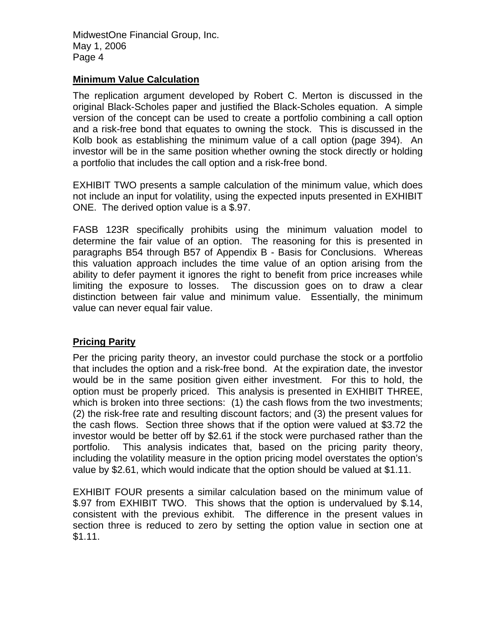### **Minimum Value Calculation**

The replication argument developed by Robert C. Merton is discussed in the original Black-Scholes paper and justified the Black-Scholes equation. A simple version of the concept can be used to create a portfolio combining a call option and a risk-free bond that equates to owning the stock. This is discussed in the Kolb book as establishing the minimum value of a call option (page 394). An investor will be in the same position whether owning the stock directly or holding a portfolio that includes the call option and a risk-free bond.

EXHIBIT TWO presents a sample calculation of the minimum value, which does not include an input for volatility, using the expected inputs presented in EXHIBIT ONE. The derived option value is a \$.97.

FASB 123R specifically prohibits using the minimum valuation model to determine the fair value of an option. The reasoning for this is presented in paragraphs B54 through B57 of Appendix B - Basis for Conclusions. Whereas this valuation approach includes the time value of an option arising from the ability to defer payment it ignores the right to benefit from price increases while limiting the exposure to losses. The discussion goes on to draw a clear distinction between fair value and minimum value. Essentially, the minimum value can never equal fair value.

### **Pricing Parity**

Per the pricing parity theory, an investor could purchase the stock or a portfolio that includes the option and a risk-free bond. At the expiration date, the investor would be in the same position given either investment. For this to hold, the option must be properly priced. This analysis is presented in EXHIBIT THREE, which is broken into three sections: (1) the cash flows from the two investments; (2) the risk-free rate and resulting discount factors; and (3) the present values for the cash flows. Section three shows that if the option were valued at \$3.72 the investor would be better off by \$2.61 if the stock were purchased rather than the portfolio. This analysis indicates that, based on the pricing parity theory, including the volatility measure in the option pricing model overstates the option's value by \$2.61, which would indicate that the option should be valued at \$1.11.

EXHIBIT FOUR presents a similar calculation based on the minimum value of \$.97 from EXHIBIT TWO. This shows that the option is undervalued by \$.14, consistent with the previous exhibit. The difference in the present values in section three is reduced to zero by setting the option value in section one at \$1.11.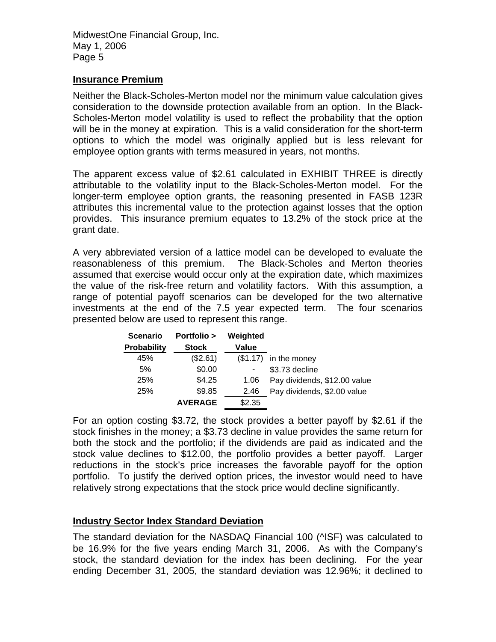### **Insurance Premium**

Neither the Black-Scholes-Merton model nor the minimum value calculation gives consideration to the downside protection available from an option. In the Black-Scholes-Merton model volatility is used to reflect the probability that the option will be in the money at expiration. This is a valid consideration for the short-term options to which the model was originally applied but is less relevant for employee option grants with terms measured in years, not months.

The apparent excess value of \$2.61 calculated in EXHIBIT THREE is directly attributable to the volatility input to the Black-Scholes-Merton model. For the longer-term employee option grants, the reasoning presented in FASB 123R attributes this incremental value to the protection against losses that the option provides. This insurance premium equates to 13.2% of the stock price at the grant date.

A very abbreviated version of a lattice model can be developed to evaluate the reasonableness of this premium. The Black-Scholes and Merton theories assumed that exercise would occur only at the expiration date, which maximizes the value of the risk-free return and volatility factors. With this assumption, a range of potential payoff scenarios can be developed for the two alternative investments at the end of the 7.5 year expected term. The four scenarios presented below are used to represent this range.

| <b>Scenario</b>    | <b>Portfolio &gt;</b> | Weighted |                              |
|--------------------|-----------------------|----------|------------------------------|
| <b>Probability</b> | <b>Stock</b>          | Value    |                              |
| 45%                | (\$2.61)              |          | $($1.17)$ in the money       |
| 5%                 | \$0.00                |          | \$3.73 decline               |
| 25%                | \$4.25                | 1.06     | Pay dividends, \$12.00 value |
| 25%                | \$9.85                | 2.46     | Pay dividends, \$2.00 value  |
|                    | <b>AVERAGE</b>        | \$2.35   |                              |

For an option costing \$3.72, the stock provides a better payoff by \$2.61 if the stock finishes in the money; a \$3.73 decline in value provides the same return for both the stock and the portfolio; if the dividends are paid as indicated and the stock value declines to \$12.00, the portfolio provides a better payoff. Larger reductions in the stock's price increases the favorable payoff for the option portfolio. To justify the derived option prices, the investor would need to have relatively strong expectations that the stock price would decline significantly.

### **Industry Sector Index Standard Deviation**

The standard deviation for the NASDAQ Financial 100 (^ISF) was calculated to be 16.9% for the five years ending March 31, 2006. As with the Company's stock, the standard deviation for the index has been declining. For the year ending December 31, 2005, the standard deviation was 12.96%; it declined to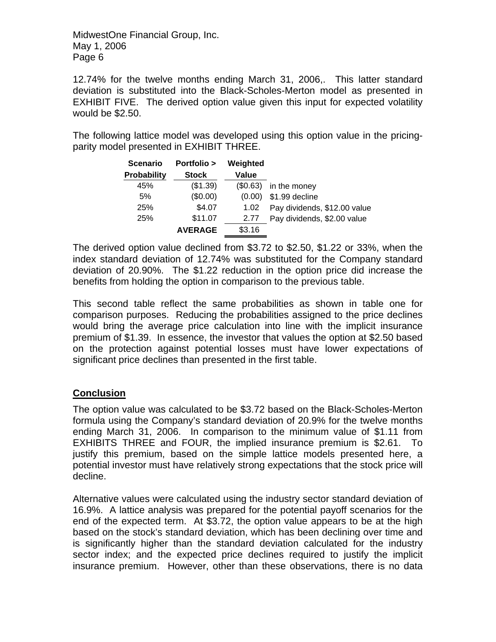12.74% for the twelve months ending March 31, 2006,. This latter standard deviation is substituted into the Black-Scholes-Merton model as presented in EXHIBIT FIVE. The derived option value given this input for expected volatility would be \$2.50.

The following lattice model was developed using this option value in the pricingparity model presented in EXHIBIT THREE.

| <b>Scenario</b>    | <b>Portfolio &gt;</b> | Weighted |                              |
|--------------------|-----------------------|----------|------------------------------|
| <b>Probability</b> | <b>Stock</b>          | Value    |                              |
| 45%                | (\$1.39)              | (\$0.63) | in the money                 |
| 5%                 | (\$0.00)              | (0.00)   | \$1.99 decline               |
| 25%                | \$4.07                | 1.02     | Pay dividends, \$12.00 value |
| 25%                | \$11.07               | 2.77     | Pay dividends, \$2.00 value  |
|                    | <b>AVERAGE</b>        | \$3.16   |                              |

The derived option value declined from \$3.72 to \$2.50, \$1.22 or 33%, when the index standard deviation of 12.74% was substituted for the Company standard deviation of 20.90%. The \$1.22 reduction in the option price did increase the benefits from holding the option in comparison to the previous table.

This second table reflect the same probabilities as shown in table one for comparison purposes. Reducing the probabilities assigned to the price declines would bring the average price calculation into line with the implicit insurance premium of \$1.39. In essence, the investor that values the option at \$2.50 based on the protection against potential losses must have lower expectations of significant price declines than presented in the first table.

## **Conclusion**

The option value was calculated to be \$3.72 based on the Black-Scholes-Merton formula using the Company's standard deviation of 20.9% for the twelve months ending March 31, 2006. In comparison to the minimum value of \$1.11 from EXHIBITS THREE and FOUR, the implied insurance premium is \$2.61. To justify this premium, based on the simple lattice models presented here, a potential investor must have relatively strong expectations that the stock price will decline.

Alternative values were calculated using the industry sector standard deviation of 16.9%. A lattice analysis was prepared for the potential payoff scenarios for the end of the expected term. At \$3.72, the option value appears to be at the high based on the stock's standard deviation, which has been declining over time and is significantly higher than the standard deviation calculated for the industry sector index; and the expected price declines required to justify the implicit insurance premium. However, other than these observations, there is no data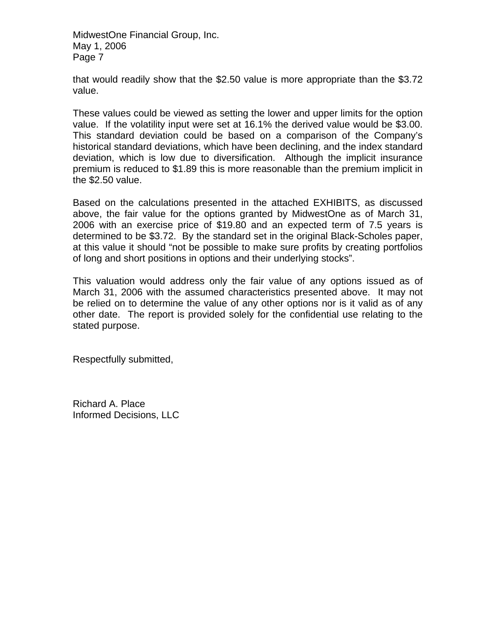that would readily show that the \$2.50 value is more appropriate than the \$3.72 value.

These values could be viewed as setting the lower and upper limits for the option value. If the volatility input were set at 16.1% the derived value would be \$3.00. This standard deviation could be based on a comparison of the Company's historical standard deviations, which have been declining, and the index standard deviation, which is low due to diversification. Although the implicit insurance premium is reduced to \$1.89 this is more reasonable than the premium implicit in the \$2.50 value.

Based on the calculations presented in the attached EXHIBITS, as discussed above, the fair value for the options granted by MidwestOne as of March 31, 2006 with an exercise price of \$19.80 and an expected term of 7.5 years is determined to be \$3.72. By the standard set in the original Black-Scholes paper, at this value it should "not be possible to make sure profits by creating portfolios of long and short positions in options and their underlying stocks".

This valuation would address only the fair value of any options issued as of March 31, 2006 with the assumed characteristics presented above. It may not be relied on to determine the value of any other options nor is it valid as of any other date. The report is provided solely for the confidential use relating to the stated purpose.

Respectfully submitted,

Richard A. Place Informed Decisions, LLC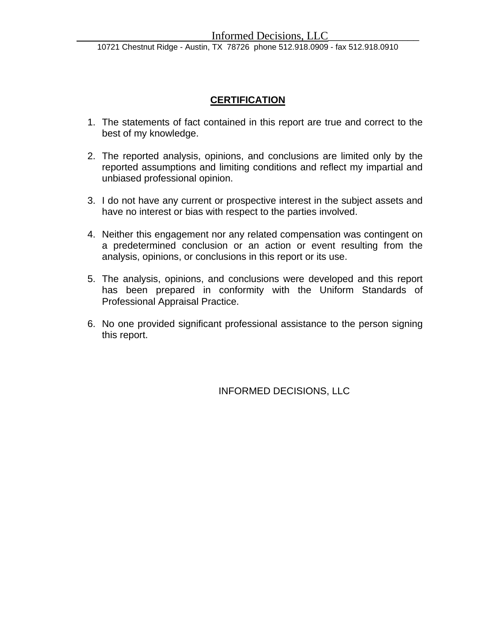10721 Chestnut Ridge - Austin, TX 78726 phone 512.918.0909 - fax 512.918.0910

## **CERTIFICATION**

- 1. The statements of fact contained in this report are true and correct to the best of my knowledge.
- 2. The reported analysis, opinions, and conclusions are limited only by the reported assumptions and limiting conditions and reflect my impartial and unbiased professional opinion.
- 3. I do not have any current or prospective interest in the subject assets and have no interest or bias with respect to the parties involved.
- 4. Neither this engagement nor any related compensation was contingent on a predetermined conclusion or an action or event resulting from the analysis, opinions, or conclusions in this report or its use.
- 5. The analysis, opinions, and conclusions were developed and this report has been prepared in conformity with the Uniform Standards of Professional Appraisal Practice.
- 6. No one provided significant professional assistance to the person signing this report.

INFORMED DECISIONS, LLC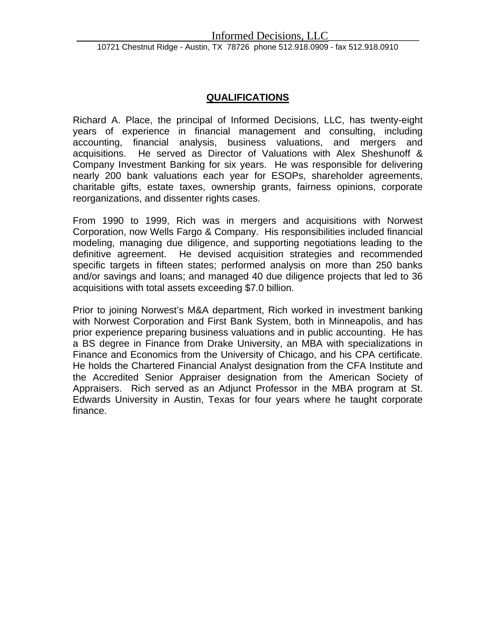## **QUALIFICATIONS**

Richard A. Place, the principal of Informed Decisions, LLC, has twenty-eight years of experience in financial management and consulting, including accounting, financial analysis, business valuations, and mergers and acquisitions. He served as Director of Valuations with Alex Sheshunoff & Company Investment Banking for six years. He was responsible for delivering nearly 200 bank valuations each year for ESOPs, shareholder agreements, charitable gifts, estate taxes, ownership grants, fairness opinions, corporate reorganizations, and dissenter rights cases.

From 1990 to 1999, Rich was in mergers and acquisitions with Norwest Corporation, now Wells Fargo & Company. His responsibilities included financial modeling, managing due diligence, and supporting negotiations leading to the definitive agreement. He devised acquisition strategies and recommended specific targets in fifteen states; performed analysis on more than 250 banks and/or savings and loans; and managed 40 due diligence projects that led to 36 acquisitions with total assets exceeding \$7.0 billion.

Prior to joining Norwest's M&A department, Rich worked in investment banking with Norwest Corporation and First Bank System, both in Minneapolis, and has prior experience preparing business valuations and in public accounting. He has a BS degree in Finance from Drake University, an MBA with specializations in Finance and Economics from the University of Chicago, and his CPA certificate. He holds the Chartered Financial Analyst designation from the CFA Institute and the Accredited Senior Appraiser designation from the American Society of Appraisers. Rich served as an Adjunct Professor in the MBA program at St. Edwards University in Austin, Texas for four years where he taught corporate finance.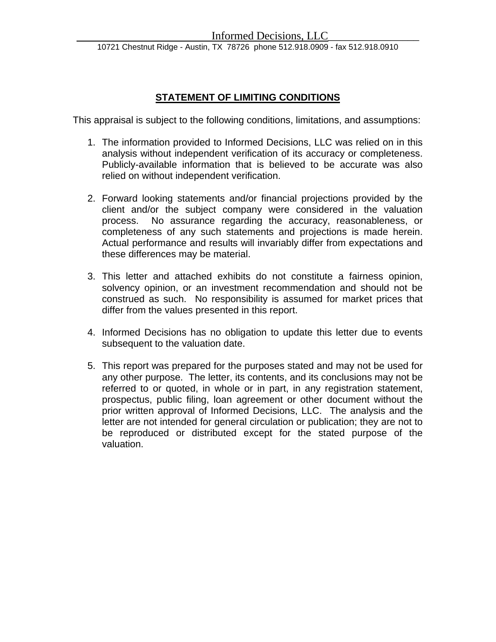## **STATEMENT OF LIMITING CONDITIONS**

This appraisal is subject to the following conditions, limitations, and assumptions:

- 1. The information provided to Informed Decisions, LLC was relied on in this analysis without independent verification of its accuracy or completeness. Publicly-available information that is believed to be accurate was also relied on without independent verification.
- 2. Forward looking statements and/or financial projections provided by the client and/or the subject company were considered in the valuation process. No assurance regarding the accuracy, reasonableness, or completeness of any such statements and projections is made herein. Actual performance and results will invariably differ from expectations and these differences may be material.
- 3. This letter and attached exhibits do not constitute a fairness opinion, solvency opinion, or an investment recommendation and should not be construed as such. No responsibility is assumed for market prices that differ from the values presented in this report.
- 4. Informed Decisions has no obligation to update this letter due to events subsequent to the valuation date.
- 5. This report was prepared for the purposes stated and may not be used for any other purpose. The letter, its contents, and its conclusions may not be referred to or quoted, in whole or in part, in any registration statement, prospectus, public filing, loan agreement or other document without the prior written approval of Informed Decisions, LLC. The analysis and the letter are not intended for general circulation or publication; they are not to be reproduced or distributed except for the stated purpose of the valuation.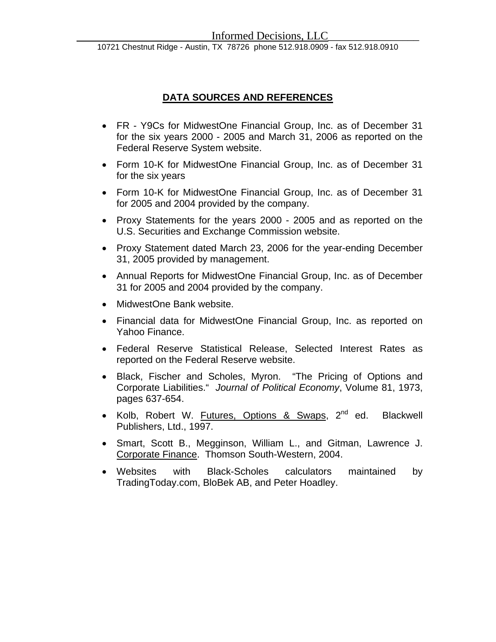## **DATA SOURCES AND REFERENCES**

- FR Y9Cs for MidwestOne Financial Group, Inc. as of December 31 for the six years 2000 - 2005 and March 31, 2006 as reported on the Federal Reserve System website.
- Form 10-K for MidwestOne Financial Group, Inc. as of December 31 for the six years
- Form 10-K for MidwestOne Financial Group, Inc. as of December 31 for 2005 and 2004 provided by the company.
- Proxy Statements for the years 2000 2005 and as reported on the U.S. Securities and Exchange Commission website.
- Proxy Statement dated March 23, 2006 for the year-ending December 31, 2005 provided by management.
- Annual Reports for MidwestOne Financial Group, Inc. as of December 31 for 2005 and 2004 provided by the company.
- MidwestOne Bank website.
- Financial data for MidwestOne Financial Group, Inc. as reported on Yahoo Finance.
- Federal Reserve Statistical Release, Selected Interest Rates as reported on the Federal Reserve website.
- Black, Fischer and Scholes, Myron. "The Pricing of Options and Corporate Liabilities." *Journal of Political Economy*, Volume 81, 1973, pages 637-654.
- Kolb, Robert W. Futures, Options & Swaps,  $2^{nd}$  ed. Blackwell Publishers, Ltd., 1997.
- Smart, Scott B., Megginson, William L., and Gitman, Lawrence J. Corporate Finance. Thomson South-Western, 2004.
- Websites with Black-Scholes calculators maintained by TradingToday.com, BloBek AB, and Peter Hoadley.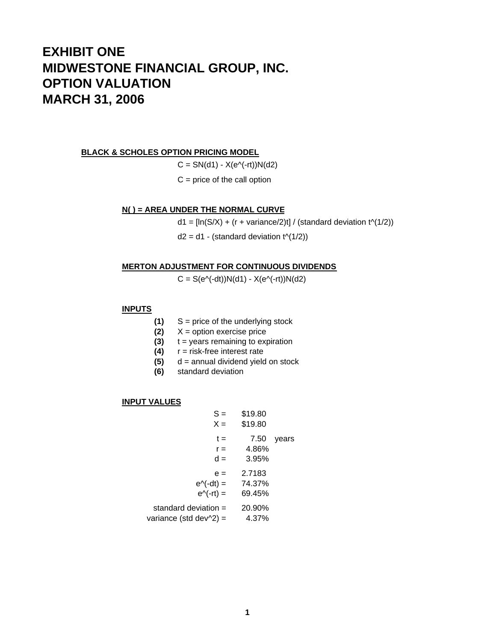# **EXHIBIT ONE MIDWESTONE FINANCIAL GROUP, INC. OPTION VALUATION MARCH 31, 2006**

#### **BLACK & SCHOLES OPTION PRICING MODEL**

 $C = SN(d1) - X(e^{\Lambda}(-rt))N(d2)$ 

 $C =$  price of the call option

#### **N( ) = AREA UNDER THE NORMAL CURVE**

 $d1 = [ln(S/X) + (r + variance/2)t] / (standard deviation t<sup>(</sup>1/2))$ 

 $d2 = d1$  - (standard deviation  $t^{(1/2)}$ )

#### **MERTON ADJUSTMENT FOR CONTINUOUS DIVIDENDS**

 $C = S(e^{\Lambda}(-dt))N(d1) - X(e^{\Lambda}(-rt))N(d2)$ 

### **INPUTS**

- **(1)** S = price of the underlying stock
- **(2)** X = option exercise price
- **(3)** t = years remaining to expiration
- **(4)** r = risk-free interest rate
- **(5)** d = annual dividend yield on stock
- **(6)** standard deviation

#### **INPUT VALUES**

| S =<br>$X =$                                             | \$19.80<br>\$19.80         |       |
|----------------------------------------------------------|----------------------------|-------|
| t =<br>$r =$<br>$d =$                                    | 7.50<br>4.86%<br>3.95%     | years |
| $e =$<br>$e^{\Lambda}$ (-dt) =<br>$e^{\Lambda}(-rt)$ =   | 2.7183<br>74.37%<br>69.45% |       |
| standard deviation =<br>variance (std dev $\sqrt{2}$ ) = | 20.90%<br>4.37%            |       |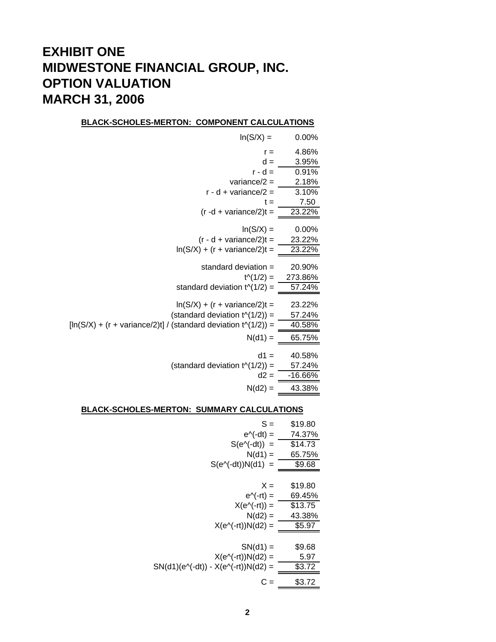# **EXHIBIT ONE MIDWESTONE FINANCIAL GROUP, INC. OPTION VALUATION MARCH 31, 2006**

#### **BLACK-SCHOLES-MERTON: COMPONENT CALCULATIONS**

| $ln(S/X) =$                                                     | $0.00\%$          |
|-----------------------------------------------------------------|-------------------|
| $r =$                                                           | 4.86%             |
| $d =$                                                           | 3.95%             |
| r - d =                                                         | 0.91%             |
| variance/ $2 =$                                                 | 2.18%             |
| $r - d + variance/2 =$                                          | 3.10%             |
| t =                                                             | 7.50              |
| $(r - d + variance/2)t =$                                       | 23.22%            |
| $ln(S/X) =$                                                     | 0.00%             |
| $(r - d + variance/2)t =$                                       | 23.22%            |
| $ln(S/X) + (r + variance/2)t =$                                 | 23.22%            |
| standard deviation =                                            |                   |
|                                                                 | 20.90%<br>273.86% |
| $t^{(1/2)} =$                                                   | 57.24%            |
| standard deviation $t^{(1/2)} =$                                |                   |
| $ln(S/X) + (r + variance/2)t =$                                 | 23.22%            |
| (standard deviation $t^{(1/2)}$ ) =                             | 57.24%            |
| $[ln(S/X) + (r + variance/2)t] / (standard deviation t(1/2)) =$ | 40.58%            |
| $N(d1) =$                                                       | 65.75%            |
|                                                                 |                   |
| $d1 =$                                                          | 40.58%            |
| (standard deviation $t \wedge (1/2)$ ) =<br>$d2 =$              | 57.24%            |
|                                                                 | -16.66%           |
| $N(d2) =$                                                       | 43.38%            |
|                                                                 |                   |

#### **BLACK-SCHOLES-MERTON: SUMMARY CALCULATIONS**

| $S =$                                                   | \$19.80 |
|---------------------------------------------------------|---------|
| $e^{\Lambda}$ (-dt) =                                   | 74.37%  |
| $S(e^{\Lambda}(-dt)) =$                                 | \$14.73 |
| $N(d1) =$                                               | 65.75%  |
| $S(e^{\Lambda}(-dt))N(d1) =$                            | \$9.68  |
|                                                         |         |
| $X =$                                                   | \$19.80 |
| $e^{\Lambda}$ (-rt) =                                   | 69.45%  |
| $X(e^{\Lambda}(-r t)) =$                                | \$13.75 |
| $N(d2) =$                                               | 43.38%  |
| $X(e^{\Lambda}(-rt))N(d2) =$                            | \$5.97  |
|                                                         |         |
| $SN(d1) =$                                              | \$9.68  |
| $X(e^{\Lambda}(-rt))N(d2) =$                            | 5.97    |
| $SN(d1)(e^{\Lambda}(-dt)) - X(e^{\Lambda}(-rt))N(d2) =$ | \$3.72  |
| $C =$                                                   | \$3.72  |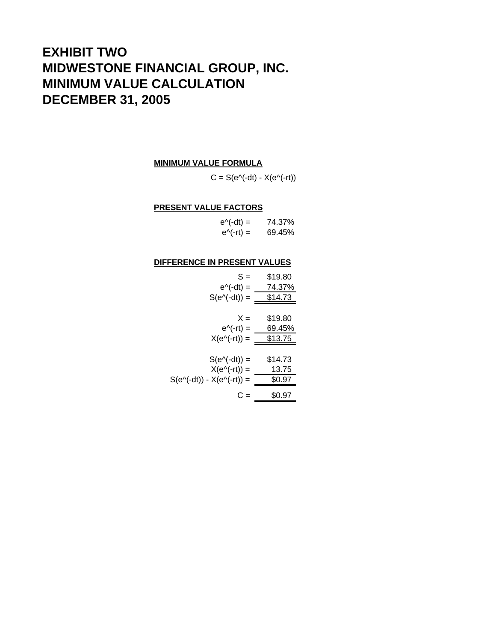# **EXHIBIT TWO MIDWESTONE FINANCIAL GROUP, INC. MINIMUM VALUE CALCULATION DECEMBER 31, 2005**

#### **MINIMUM VALUE FORMULA**

 $C = S(e^{\Lambda}(-dt) - X(e^{\Lambda}(-rt))$ 

#### **PRESENT VALUE FACTORS**

| $e^{\Lambda}$ (-dt) = | 74.37% |
|-----------------------|--------|
| $e^{\Lambda}(-r t) =$ | 69.45% |

#### **DIFFERENCE IN PRESENT VALUES**

| $S =$                                   | \$19.80 |
|-----------------------------------------|---------|
| $e^{\Lambda}$ (-dt) =                   | 74.37%  |
| $S(e \land (-dt)) =$                    | \$14.73 |
|                                         |         |
| $X =$                                   | \$19.80 |
| $e^{\Lambda}(-rt) =$                    | 69.45%  |
| $X(e^{\Lambda}(-r t)) =$                | \$13.75 |
|                                         |         |
| $S(e^{\Lambda}(-dt)) =$                 | \$14.73 |
| $X(e^{\Lambda}(-rt)) =$                 | 13.75   |
| $S(e \land (-dt)) - X(e \land (-rt)) =$ | \$0.97  |
| C =                                     | \$0.97  |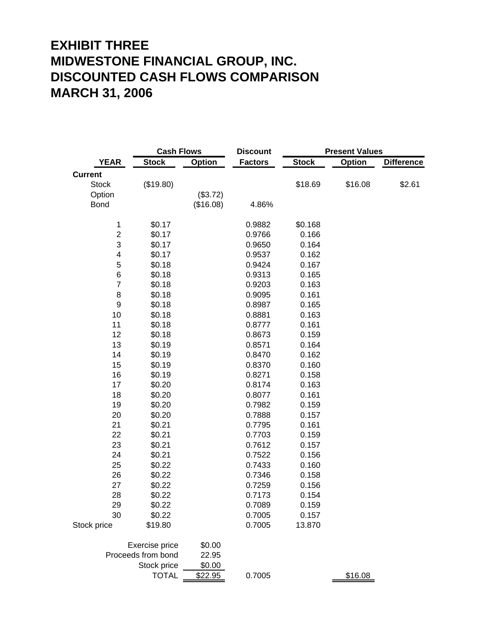# **EXHIBIT THREE MIDWESTONE FINANCIAL GROUP, INC. DISCOUNTED CASH FLOWS COMPARISON MARCH 31, 2006**

|                         | <b>Cash Flows</b>  |               | <b>Discount</b> |              | <b>Present Values</b> |                   |
|-------------------------|--------------------|---------------|-----------------|--------------|-----------------------|-------------------|
| <b>YEAR</b>             | <b>Stock</b>       | <b>Option</b> | <b>Factors</b>  | <b>Stock</b> | <b>Option</b>         | <b>Difference</b> |
| <b>Current</b>          |                    |               |                 |              |                       |                   |
| <b>Stock</b>            | (\$19.80)          |               |                 | \$18.69      | \$16.08               | \$2.61            |
| Option                  |                    | (\$3.72)      |                 |              |                       |                   |
| <b>Bond</b>             |                    | (\$16.08)     | 4.86%           |              |                       |                   |
|                         |                    |               |                 |              |                       |                   |
| $\mathbf 1$             | \$0.17             |               | 0.9882          | \$0.168      |                       |                   |
| $\overline{\mathbf{c}}$ | \$0.17             |               | 0.9766          | 0.166        |                       |                   |
| 3                       | \$0.17             |               | 0.9650          | 0.164        |                       |                   |
| 4                       | \$0.17             |               | 0.9537          | 0.162        |                       |                   |
| 5                       | \$0.18             |               | 0.9424          | 0.167        |                       |                   |
| 6                       | \$0.18             |               | 0.9313          | 0.165        |                       |                   |
| $\overline{7}$          | \$0.18             |               | 0.9203          | 0.163        |                       |                   |
| 8                       | \$0.18             |               | 0.9095          | 0.161        |                       |                   |
| 9                       | \$0.18             |               | 0.8987          | 0.165        |                       |                   |
| 10                      | \$0.18             |               | 0.8881          | 0.163        |                       |                   |
| 11                      | \$0.18             |               | 0.8777          | 0.161        |                       |                   |
| 12                      | \$0.18             |               | 0.8673          | 0.159        |                       |                   |
| 13                      | \$0.19             |               | 0.8571          | 0.164        |                       |                   |
| 14                      | \$0.19             |               | 0.8470          | 0.162        |                       |                   |
| 15                      | \$0.19             |               | 0.8370          | 0.160        |                       |                   |
| 16                      | \$0.19             |               | 0.8271          | 0.158        |                       |                   |
| 17                      | \$0.20             |               | 0.8174          | 0.163        |                       |                   |
| 18                      | \$0.20             |               | 0.8077          | 0.161        |                       |                   |
| 19                      | \$0.20             |               | 0.7982          | 0.159        |                       |                   |
| 20                      | \$0.20             |               | 0.7888          | 0.157        |                       |                   |
| 21                      | \$0.21             |               | 0.7795          | 0.161        |                       |                   |
| 22                      | \$0.21             |               | 0.7703          | 0.159        |                       |                   |
| 23                      | \$0.21             |               | 0.7612          | 0.157        |                       |                   |
| 24                      | \$0.21             |               | 0.7522          | 0.156        |                       |                   |
| 25                      | \$0.22             |               | 0.7433          | 0.160        |                       |                   |
| 26                      | \$0.22             |               | 0.7346          | 0.158        |                       |                   |
| 27                      | \$0.22             |               | 0.7259          | 0.156        |                       |                   |
| 28                      | \$0.22             |               | 0.7173          | 0.154        |                       |                   |
| 29                      | \$0.22             |               | 0.7089          | 0.159        |                       |                   |
| 30                      | \$0.22             |               | 0.7005          | 0.157        |                       |                   |
| Stock price             | \$19.80            |               | 0.7005          | 13.870       |                       |                   |
|                         | Exercise price     | \$0.00        |                 |              |                       |                   |
|                         | Proceeds from bond | 22.95         |                 |              |                       |                   |
|                         | Stock price        | \$0.00        |                 |              |                       |                   |
|                         | <b>TOTAL</b>       | \$22.95       | 0.7005          |              | \$16.08               |                   |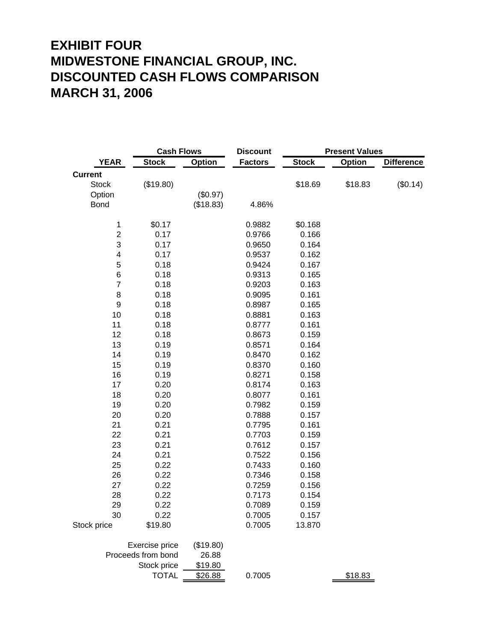# **EXHIBIT FOUR MIDWESTONE FINANCIAL GROUP, INC. DISCOUNTED CASH FLOWS COMPARISON MARCH 31, 2006**

|                         | <b>Cash Flows</b>  |           | <b>Discount</b> |              | <b>Present Values</b> |                   |
|-------------------------|--------------------|-----------|-----------------|--------------|-----------------------|-------------------|
| <b>YEAR</b>             | <b>Stock</b>       | Option    | <b>Factors</b>  | <b>Stock</b> | <b>Option</b>         | <b>Difference</b> |
| <b>Current</b>          |                    |           |                 |              |                       |                   |
| <b>Stock</b>            | (\$19.80)          |           |                 | \$18.69      | \$18.83               | (\$0.14)          |
| Option                  |                    | (\$0.97)  |                 |              |                       |                   |
| <b>Bond</b>             |                    | (\$18.83) | 4.86%           |              |                       |                   |
|                         |                    |           |                 |              |                       |                   |
| $\mathbf 1$             | \$0.17             |           | 0.9882          | \$0.168      |                       |                   |
| $\overline{\mathbf{c}}$ | 0.17               |           | 0.9766          | 0.166        |                       |                   |
| 3                       | 0.17               |           | 0.9650          | 0.164        |                       |                   |
| 4                       | 0.17               |           | 0.9537          | 0.162        |                       |                   |
| 5                       | 0.18               |           | 0.9424          | 0.167        |                       |                   |
| 6                       | 0.18               |           | 0.9313          | 0.165        |                       |                   |
| $\overline{7}$          | 0.18               |           | 0.9203          | 0.163        |                       |                   |
| 8                       | 0.18               |           | 0.9095          | 0.161        |                       |                   |
| 9                       | 0.18               |           | 0.8987          | 0.165        |                       |                   |
| 10                      | 0.18               |           | 0.8881          | 0.163        |                       |                   |
| 11                      | 0.18               |           | 0.8777          | 0.161        |                       |                   |
| 12                      | 0.18               |           | 0.8673          | 0.159        |                       |                   |
| 13                      | 0.19               |           | 0.8571          | 0.164        |                       |                   |
| 14                      | 0.19               |           | 0.8470          | 0.162        |                       |                   |
| 15                      | 0.19               |           | 0.8370          | 0.160        |                       |                   |
| 16                      | 0.19               |           | 0.8271          | 0.158        |                       |                   |
| 17                      | 0.20               |           | 0.8174          | 0.163        |                       |                   |
| 18                      | 0.20               |           | 0.8077          | 0.161        |                       |                   |
| 19                      | 0.20               |           | 0.7982          | 0.159        |                       |                   |
| 20                      | 0.20               |           | 0.7888          | 0.157        |                       |                   |
| 21                      | 0.21               |           | 0.7795          | 0.161        |                       |                   |
| 22                      | 0.21               |           | 0.7703          | 0.159        |                       |                   |
| 23                      | 0.21               |           | 0.7612          | 0.157        |                       |                   |
| 24                      | 0.21               |           | 0.7522          | 0.156        |                       |                   |
| 25                      | 0.22               |           | 0.7433          | 0.160        |                       |                   |
| 26                      | 0.22               |           | 0.7346          | 0.158        |                       |                   |
| 27                      | 0.22               |           | 0.7259          | 0.156        |                       |                   |
| 28                      | 0.22               |           | 0.7173          | 0.154        |                       |                   |
| 29                      | 0.22               |           | 0.7089          | 0.159        |                       |                   |
| 30                      | 0.22               |           | 0.7005          | 0.157        |                       |                   |
| Stock price             | \$19.80            |           | 0.7005          | 13.870       |                       |                   |
|                         | Exercise price     | (\$19.80) |                 |              |                       |                   |
|                         | Proceeds from bond | 26.88     |                 |              |                       |                   |
|                         | Stock price        | \$19.80   |                 |              |                       |                   |
|                         | <b>TOTAL</b>       | \$26.88   | 0.7005          |              | \$18.83               |                   |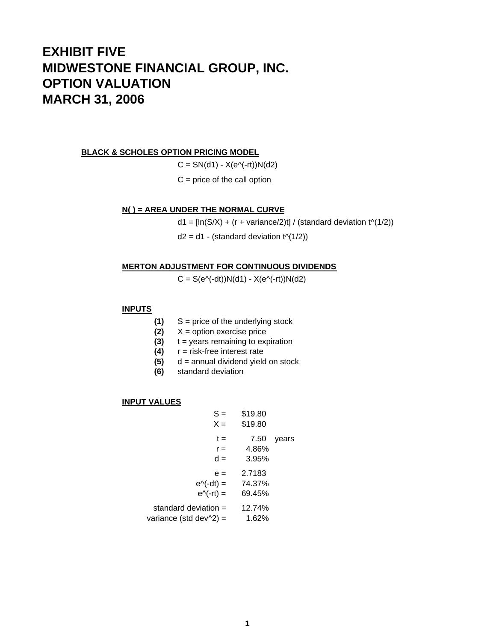# **EXHIBIT FIVE MIDWESTONE FINANCIAL GROUP, INC. OPTION VALUATION MARCH 31, 2006**

#### **BLACK & SCHOLES OPTION PRICING MODEL**

 $C = SN(d1) - X(e^{\Lambda}(-rt))N(d2)$ 

 $C =$  price of the call option

#### **N( ) = AREA UNDER THE NORMAL CURVE**

 $d1 = [ln(S/X) + (r + variance/2)t] / (standard deviation t<sup>(</sup>1/2))$ 

 $d2 = d1$  - (standard deviation  $t^{(1/2)}$ )

#### **MERTON ADJUSTMENT FOR CONTINUOUS DIVIDENDS**

 $C = S(e^{\Lambda}(-dt))N(d1) - X(e^{\Lambda}(-rt))N(d2)$ 

### **INPUTS**

- **(1)** S = price of the underlying stock
- **(2)** X = option exercise price
- **(3)** t = years remaining to expiration
- **(4)** r = risk-free interest rate
- **(5)** d = annual dividend yield on stock
- **(6)** standard deviation

#### **INPUT VALUES**

| $S =$<br>$X =$                                             | \$19.80<br>\$19.80         |       |
|------------------------------------------------------------|----------------------------|-------|
| t =<br>$r =$<br>$d =$                                      | 7.50<br>4.86%<br>3.95%     | years |
| $e =$<br>$e^{\Lambda}$ (-dt) =<br>$e^{\Lambda}(-r t) =$    | 2.7183<br>74.37%<br>69.45% |       |
| standard deviation $=$<br>variance (std dev $\sqrt{2}$ ) = | 12.74%<br>1.62%            |       |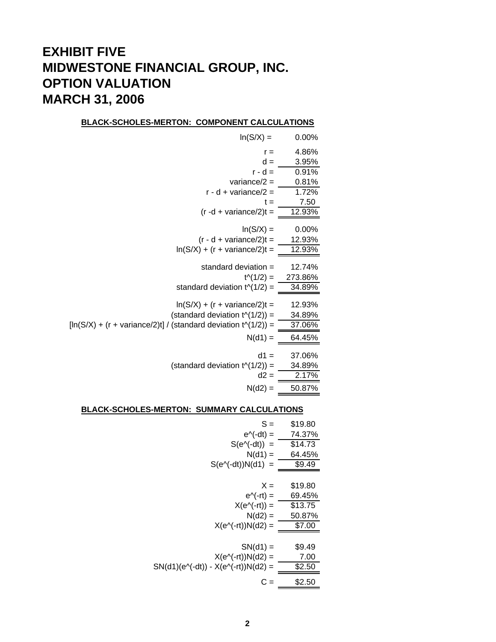# **EXHIBIT FIVE MIDWESTONE FINANCIAL GROUP, INC. OPTION VALUATION MARCH 31, 2006**

#### **BLACK-SCHOLES-MERTON: COMPONENT CALCULATIONS**

| $ln(S/X) =$                                                     | 0.00%    |
|-----------------------------------------------------------------|----------|
| $r =$                                                           | 4.86%    |
| $d =$                                                           | 3.95%    |
| $r - d =$                                                       | 0.91%    |
| variance/ $2 =$                                                 | 0.81%    |
| $r - d + variance/2 =$                                          | 1.72%    |
| t =                                                             | 7.50     |
| $(r - d + variance/2)t =$                                       | 12.93%   |
| $ln(S/X) =$                                                     | $0.00\%$ |
| $(r - d + variance/2)t =$                                       | 12.93%   |
| $ln(S/X) + (r + variance/2)t =$                                 | 12.93%   |
| standard deviation =                                            | 12.74%   |
| $t^{(1/2)} =$                                                   | 273.86%  |
| standard deviation $t^{(1/2)} =$                                | 34.89%   |
| $ln(S/X) + (r + variance/2)t =$                                 | 12.93%   |
| (standard deviation $t^{(1/2)}$ ) =                             | 34.89%   |
| $[ln(S/X) + (r + variance/2)t] / (standard deviation t(1/2)) =$ | 37.06%   |
| $N(d1) =$                                                       | 64.45%   |
| $d1 =$                                                          | 37.06%   |
| (standard deviation $t^{(1/2)}$ ) =                             | 34.89%   |
| $d2 =$                                                          | 2.17%    |
| $N(d2) =$                                                       | 50.87%   |
|                                                                 |          |

#### **BLACK-SCHOLES-MERTON: SUMMARY CALCULATIONS**

| $S =$                                                   | \$19.80 |
|---------------------------------------------------------|---------|
| $e^{\Lambda}$ (-dt) =                                   | 74.37%  |
| $S(e^{\Lambda}(-dt)) =$                                 | \$14.73 |
| $N(d1) =$                                               | 64.45%  |
| $S(e^{\Lambda}(-dt))N(d1) =$                            | \$9.49  |
|                                                         |         |
| $X =$                                                   | \$19.80 |
| $e^{\Lambda}$ (-rt) =                                   | 69.45%  |
| $X(e^{\Lambda}(-r t)) =$                                | \$13.75 |
| $N(d2) =$                                               | 50.87%  |
| $X(e^{\Lambda}(-rt))N(d2) =$                            | \$7.00  |
|                                                         |         |
| $SN(d1) =$                                              | \$9.49  |
| $X(e^{\Lambda}(-rt))N(d2) =$                            | 7.00    |
| $SN(d1)(e^{\Lambda}(-dt)) - X(e^{\Lambda}(-rt))N(d2) =$ | \$2.50  |
| C =                                                     | \$2.50  |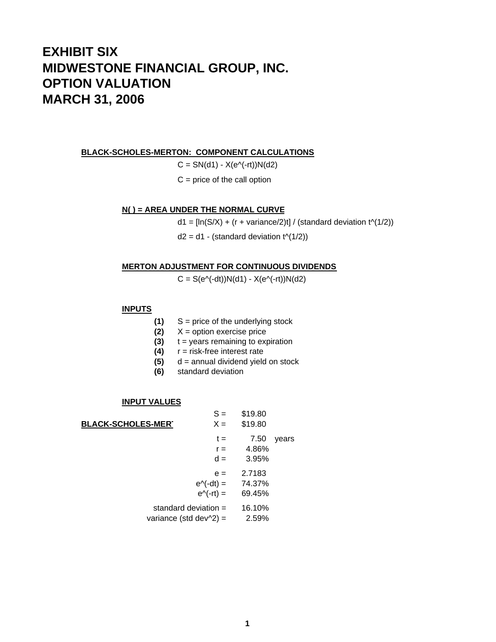# **EXHIBIT SIX MIDWESTONE FINANCIAL GROUP, INC. OPTION VALUATION MARCH 31, 2006**

**BLACK-SCHOLES-MERTON: COMPONENT CALCULATIONS**

 $C = SN(d1) - X(e^{\Lambda}(-rt))N(d2)$ 

 $C =$  price of the call option

#### **N( ) = AREA UNDER THE NORMAL CURVE**

 $d1 = [ln(S/X) + (r + variance/2)t] / (standard deviation t<sup>(</sup>1/2))$ 

 $d2 = d1 - (standard deviation t<sup>1</sup>(1/2))$ 

#### **MERTON ADJUSTMENT FOR CONTINUOUS DIVIDENDS**

 $C = S(e^{\Lambda}(-dt))N(d1) - X(e^{\Lambda}(-rt))N(d2)$ 

### **INPUTS**

- **(1)** S = price of the underlying stock
- **(2)** X = option exercise price
- **(3)** t = years remaining to expiration
- **(4)** r = risk-free interest rate
- **(5)** d = annual dividend yield on stock
- **(6)** standard deviation

#### **INPUT VALUES**

|                           |                                  | $S =$                | \$19.80 |       |
|---------------------------|----------------------------------|----------------------|---------|-------|
| <b>BLACK-SCHOLES-MERT</b> |                                  | $X =$                | \$19.80 |       |
|                           |                                  | $t =$                | 7.50    | years |
|                           |                                  | $r =$                | 4.86%   |       |
|                           |                                  | $d =$                | 3.95%   |       |
|                           |                                  | $e =$                | 2.7183  |       |
|                           |                                  | $e^{\Lambda}(-dt) =$ | 74.37%  |       |
|                           |                                  | $e^{\Lambda}(-rt)$ = | 69.45%  |       |
|                           | standard deviation $=$           |                      | 16.10%  |       |
|                           | variance (std dev $\sqrt{2}$ ) = |                      | 2.59%   |       |
|                           |                                  |                      |         |       |